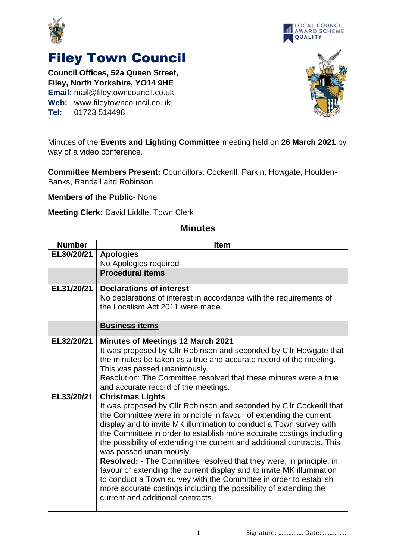



## Filey Town Council

**Council Offices, 52a Queen Street, Filey, North Yorkshire, YO14 9HE Email:** mail@fileytowncouncil.co.uk **Web:** www.fileytowncouncil.co.uk **Tel:** 01723 514498



Minutes of the **Events and Lighting Committee** meeting held on **26 March 2021** by way of a video conference.

**Committee Members Present:** Councillors: Cockerill, Parkin, Howgate, Houlden-Banks, Randall and Robinson

**Members of the Public**- None

**Meeting Clerk:** David Liddle, Town Clerk

## **Minutes**

| <b>Number</b> | <b>Item</b>                                                                                                                                                                                                                                                                                                                                                                                                                                                                                                                                                                                                                                                                                                                                                      |
|---------------|------------------------------------------------------------------------------------------------------------------------------------------------------------------------------------------------------------------------------------------------------------------------------------------------------------------------------------------------------------------------------------------------------------------------------------------------------------------------------------------------------------------------------------------------------------------------------------------------------------------------------------------------------------------------------------------------------------------------------------------------------------------|
| EL30/20/21    | <b>Apologies</b>                                                                                                                                                                                                                                                                                                                                                                                                                                                                                                                                                                                                                                                                                                                                                 |
|               | No Apologies required                                                                                                                                                                                                                                                                                                                                                                                                                                                                                                                                                                                                                                                                                                                                            |
|               | <b>Procedural items</b>                                                                                                                                                                                                                                                                                                                                                                                                                                                                                                                                                                                                                                                                                                                                          |
| EL31/20/21    | <b>Declarations of interest</b><br>No declarations of interest in accordance with the requirements of<br>the Localism Act 2011 were made.                                                                                                                                                                                                                                                                                                                                                                                                                                                                                                                                                                                                                        |
|               | <b>Business items</b>                                                                                                                                                                                                                                                                                                                                                                                                                                                                                                                                                                                                                                                                                                                                            |
| EL32/20/21    | <b>Minutes of Meetings 12 March 2021</b><br>It was proposed by Cllr Robinson and seconded by Cllr Howgate that<br>the minutes be taken as a true and accurate record of the meeting.<br>This was passed unanimously.<br>Resolution: The Committee resolved that these minutes were a true<br>and accurate record of the meetings.                                                                                                                                                                                                                                                                                                                                                                                                                                |
| EL33/20/21    | <b>Christmas Lights</b><br>It was proposed by Cllr Robinson and seconded by Cllr Cockerill that<br>the Committee were in principle in favour of extending the current<br>display and to invite MK illumination to conduct a Town survey with<br>the Committee in order to establish more accurate costings including<br>the possibility of extending the current and additional contracts. This<br>was passed unanimously.<br><b>Resolved:</b> - The Committee resolved that they were, in principle, in<br>favour of extending the current display and to invite MK illumination<br>to conduct a Town survey with the Committee in order to establish<br>more accurate costings including the possibility of extending the<br>current and additional contracts. |